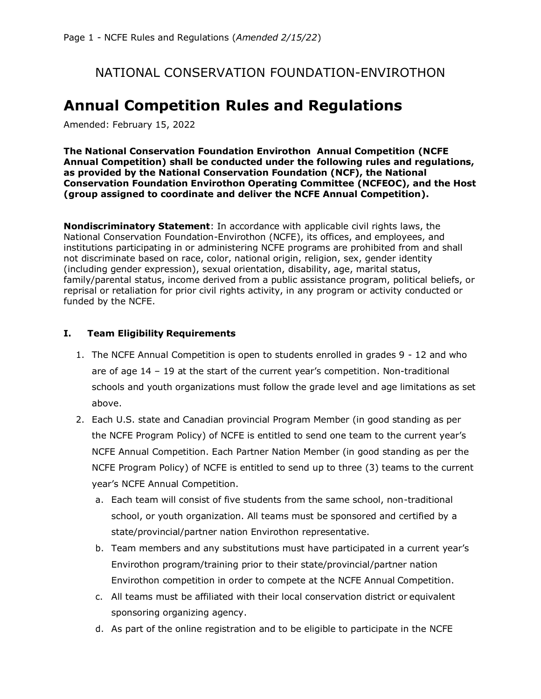## NATIONAL CONSERVATION FOUNDATION-ENVIROTHON

# **Annual Competition Rules and Regulations**

Amended: February 15, 2022

**The National Conservation Foundation Envirothon Annual Competition (NCFE Annual Competition) shall be conducted under the following rules and regulations, as provided by the National Conservation Foundation (NCF), the National Conservation Foundation Envirothon Operating Committee (NCFEOC), and the Host (group assigned to coordinate and deliver the NCFE Annual Competition).**

**Nondiscriminatory Statement**: In accordance with applicable civil rights laws, the National Conservation Foundation-Envirothon (NCFE), its offices, and employees, and institutions participating in or administering NCFE programs are prohibited from and shall not discriminate based on race, color, national origin, religion, sex, gender identity (including gender expression), sexual orientation, disability, age, marital status, family/parental status, income derived from a public assistance program, political beliefs, or reprisal or retaliation for prior civil rights activity, in any program or activity conducted or funded by the NCFE.

#### **I. Team Eligibility Requirements**

- 1. The NCFE Annual Competition is open to students enrolled in grades 9 12 and who are of age 14 – 19 at the start of the current year's competition. Non-traditional schools and youth organizations must follow the grade level and age limitations as set above.
- 2. Each U.S. state and Canadian provincial Program Member (in good standing as per the NCFE Program Policy) of NCFE is entitled to send one team to the current year's NCFE Annual Competition. Each Partner Nation Member (in good standing as per the NCFE Program Policy) of NCFE is entitled to send up to three (3) teams to the current year's NCFE Annual Competition.
	- a. Each team will consist of five students from the same school, non-traditional school, or youth organization. All teams must be sponsored and certified by a state/provincial/partner nation Envirothon representative.
	- b. Team members and any substitutions must have participated in a current year's Envirothon program/training prior to their state/provincial/partner nation Envirothon competition in order to compete at the NCFE Annual Competition.
	- c. All teams must be affiliated with their local conservation district or equivalent sponsoring organizing agency.
	- d. As part of the online registration and to be eligible to participate in the NCFE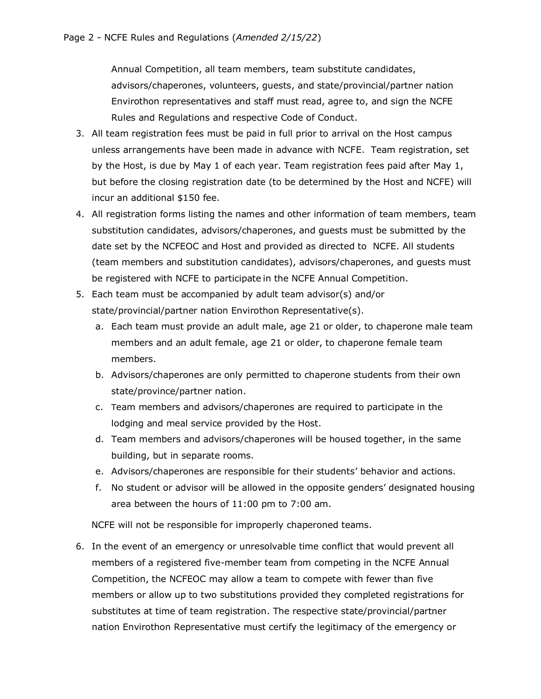Annual Competition, all team members, team substitute candidates, advisors/chaperones, volunteers, guests, and state/provincial/partner nation Envirothon representatives and staff must read, agree to, and sign the NCFE Rules and Regulations and respective Code of Conduct.

- 3. All team registration fees must be paid in full prior to arrival on the Host campus unless arrangements have been made in advance with NCFE. Team registration, set by the Host, is due by May 1 of each year. Team registration fees paid after May 1, but before the closing registration date (to be determined by the Host and NCFE) will incur an additional \$150 fee.
- 4. All registration forms listing the names and other information of team members, team substitution candidates, advisors/chaperones, and guests must be submitted by the date set by the NCFEOC and Host and provided as directed to NCFE. All students (team members and substitution candidates), advisors/chaperones, and guests must be registered with NCFE to participate in the NCFE Annual Competition.
- 5. Each team must be accompanied by adult team advisor(s) and/or state/provincial/partner nation Envirothon Representative(s).
	- a. Each team must provide an adult male, age 21 or older, to chaperone male team members and an adult female, age 21 or older, to chaperone female team members.
	- b. Advisors/chaperones are only permitted to chaperone students from their own state/province/partner nation.
	- c. Team members and advisors/chaperones are required to participate in the lodging and meal service provided by the Host.
	- d. Team members and advisors/chaperones will be housed together, in the same building, but in separate rooms.
	- e. Advisors/chaperones are responsible for their students' behavior and actions.
	- f. No student or advisor will be allowed in the opposite genders' designated housing area between the hours of 11:00 pm to 7:00 am.

NCFE will not be responsible for improperly chaperoned teams.

6. In the event of an emergency or unresolvable time conflict that would prevent all members of a registered five-member team from competing in the NCFE Annual Competition, the NCFEOC may allow a team to compete with fewer than five members or allow up to two substitutions provided they completed registrations for substitutes at time of team registration. The respective state/provincial/partner nation Envirothon Representative must certify the legitimacy of the emergency or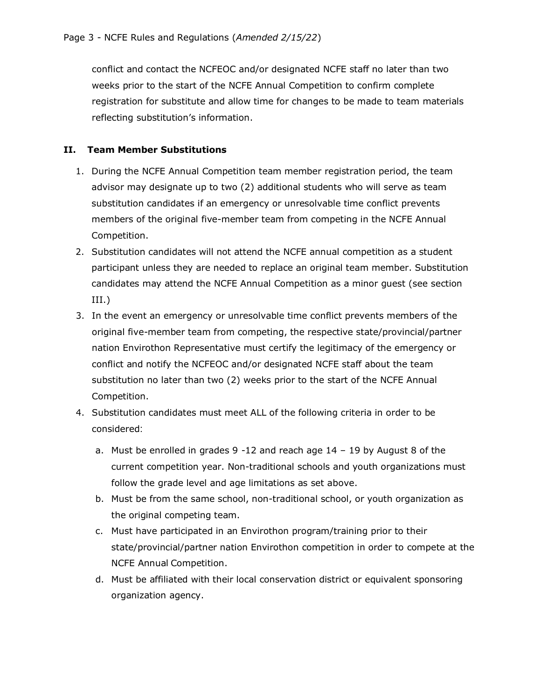conflict and contact the NCFEOC and/or designated NCFE staff no later than two weeks prior to the start of the NCFE Annual Competition to confirm complete registration for substitute and allow time for changes to be made to team materials reflecting substitution's information.

#### **II. Team Member Substitutions**

- 1. During the NCFE Annual Competition team member registration period, the team advisor may designate up to two (2) additional students who will serve as team substitution candidates if an emergency or unresolvable time conflict prevents members of the original five-member team from competing in the NCFE Annual Competition.
- 2. Substitution candidates will not attend the NCFE annual competition as a student participant unless they are needed to replace an original team member. Substitution candidates may attend the NCFE Annual Competition as a minor guest (see section III.)
- 3. In the event an emergency or unresolvable time conflict prevents members of the original five-member team from competing, the respective state/provincial/partner nation Envirothon Representative must certify the legitimacy of the emergency or conflict and notify the NCFEOC and/or designated NCFE staff about the team substitution no later than two (2) weeks prior to the start of the NCFE Annual Competition.
- 4. Substitution candidates must meet ALL of the following criteria in order to be considered:
	- a. Must be enrolled in grades 9 -12 and reach age 14 19 by August 8 of the current competition year. Non-traditional schools and youth organizations must follow the grade level and age limitations as set above.
	- b. Must be from the same school, non-traditional school, or youth organization as the original competing team.
	- c. Must have participated in an Envirothon program/training prior to their state/provincial/partner nation Envirothon competition in order to compete at the NCFE Annual Competition.
	- d. Must be affiliated with their local conservation district or equivalent sponsoring organization agency.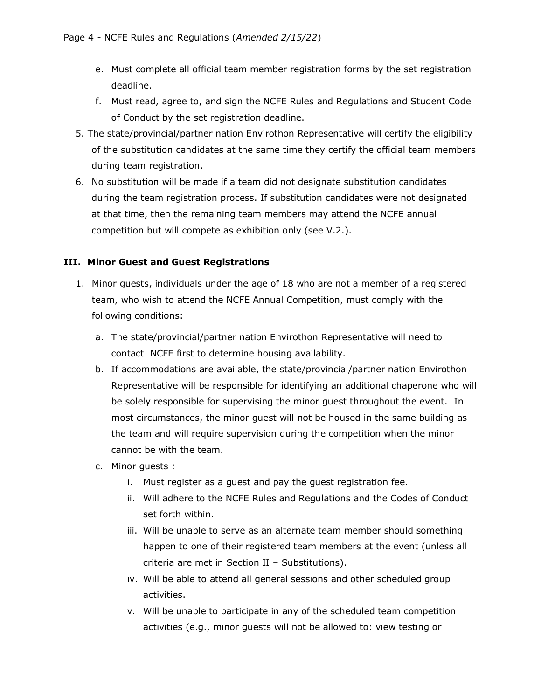- e. Must complete all official team member registration forms by the set registration deadline.
- f. Must read, agree to, and sign the NCFE Rules and Regulations and Student Code of Conduct by the set registration deadline.
- 5. The state/provincial/partner nation Envirothon Representative will certify the eligibility of the substitution candidates at the same time they certify the official team members during team registration.
- 6. No substitution will be made if a team did not designate substitution candidates during the team registration process. If substitution candidates were not designated at that time, then the remaining team members may attend the NCFE annual competition but will compete as exhibition only (see V.2.).

### **III. Minor Guest and Guest Registrations**

- 1. Minor guests, individuals under the age of 18 who are not a member of a registered team, who wish to attend the NCFE Annual Competition, must comply with the following conditions:
	- a. The state/provincial/partner nation Envirothon Representative will need to contact NCFE first to determine housing availability.
	- b. If accommodations are available, the state/provincial/partner nation Envirothon Representative will be responsible for identifying an additional chaperone who will be solely responsible for supervising the minor guest throughout the event. In most circumstances, the minor guest will not be housed in the same building as the team and will require supervision during the competition when the minor cannot be with the team.
	- c. Minor guests :
		- i. Must register as a guest and pay the guest registration fee.
		- ii. Will adhere to the NCFE Rules and Regulations and the Codes of Conduct set forth within.
		- iii. Will be unable to serve as an alternate team member should something happen to one of their registered team members at the event (unless all criteria are met in Section II – Substitutions).
		- iv. Will be able to attend all general sessions and other scheduled group activities.
		- v. Will be unable to participate in any of the scheduled team competition activities (e.g., minor guests will not be allowed to: view testing or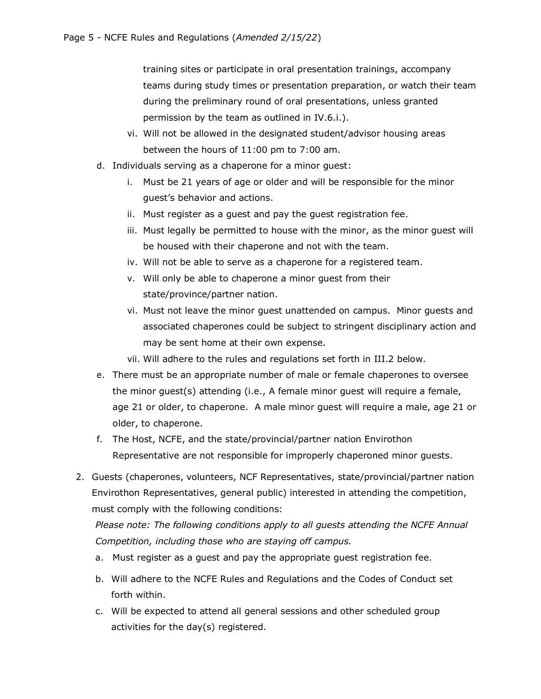training sites or participate in oral presentation trainings, accompany teams during study times or presentation preparation, or watch their team during the preliminary round of oral presentations, unless granted permission by the team as outlined in IV.6.i.).

- vi. Will not be allowed in the designated student/advisor housing areas between the hours of 11:00 pm to 7:00 am.
- d. Individuals serving as a chaperone for a minor guest:
	- i. Must be 21 years of age or older and will be responsible for the minor guest's behavior and actions.
	- ii. Must register as a guest and pay the guest registration fee.
	- iii. Must legally be permitted to house with the minor, as the minor guest will be housed with their chaperone and not with the team.
	- iv. Will not be able to serve as a chaperone for a registered team.
	- v. Will only be able to chaperone a minor guest from their state/province/partner nation.
	- vi. Must not leave the minor guest unattended on campus. Minor guests and associated chaperones could be subject to stringent disciplinary action and may be sent home at their own expense.
	- vii. Will adhere to the rules and regulations set forth in III.2 below.
- e. There must be an appropriate number of male or female chaperones to oversee the minor guest(s) attending (i.e., A female minor guest will require a female, age 21 or older, to chaperone. A male minor guest will require a male, age 21 or older, to chaperone.
- f. The Host, NCFE, and the state/provincial/partner nation Envirothon Representative are not responsible for improperly chaperoned minor guests.
- 2. Guests (chaperones, volunteers, NCF Representatives, state/provincial/partner nation Envirothon Representatives, general public) interested in attending the competition, must comply with the following conditions:

*Please note: The following conditions apply to all guests attending the NCFE Annual Competition, including those who are staying off campus.*

- a. Must register as a guest and pay the appropriate guest registration fee.
- b. Will adhere to the NCFE Rules and Regulations and the Codes of Conduct set forth within.
- c. Will be expected to attend all general sessions and other scheduled group activities for the day(s) registered.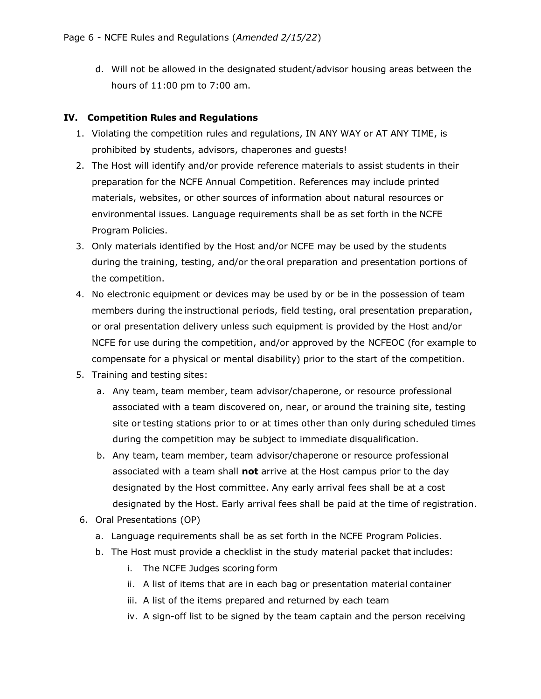d. Will not be allowed in the designated student/advisor housing areas between the hours of 11:00 pm to 7:00 am.

#### **IV. Competition Rules and Regulations**

- 1. Violating the competition rules and regulations, IN ANY WAY or AT ANY TIME, is prohibited by students, advisors, chaperones and guests!
- 2. The Host will identify and/or provide reference materials to assist students in their preparation for the NCFE Annual Competition. References may include printed materials, websites, or other sources of information about natural resources or environmental issues. Language requirements shall be as set forth in the NCFE Program Policies.
- 3. Only materials identified by the Host and/or NCFE may be used by the students during the training, testing, and/or the oral preparation and presentation portions of the competition.
- 4. No electronic equipment or devices may be used by or be in the possession of team members during the instructional periods, field testing, oral presentation preparation, or oral presentation delivery unless such equipment is provided by the Host and/or NCFE for use during the competition, and/or approved by the NCFEOC (for example to compensate for a physical or mental disability) prior to the start of the competition.
- 5. Training and testing sites:
	- a. Any team, team member, team advisor/chaperone, or resource professional associated with a team discovered on, near, or around the training site, testing site or testing stations prior to or at times other than only during scheduled times during the competition may be subject to immediate disqualification.
	- b. Any team, team member, team advisor/chaperone or resource professional associated with a team shall **not** arrive at the Host campus prior to the day designated by the Host committee. Any early arrival fees shall be at a cost designated by the Host. Early arrival fees shall be paid at the time of registration.
- 6. Oral Presentations (OP)
	- a. Language requirements shall be as set forth in the NCFE Program Policies.
	- b. The Host must provide a checklist in the study material packet that includes:
		- i. The NCFE Judges scoring form
		- ii. A list of items that are in each bag or presentation material container
		- iii. A list of the items prepared and returned by each team
		- iv. A sign-off list to be signed by the team captain and the person receiving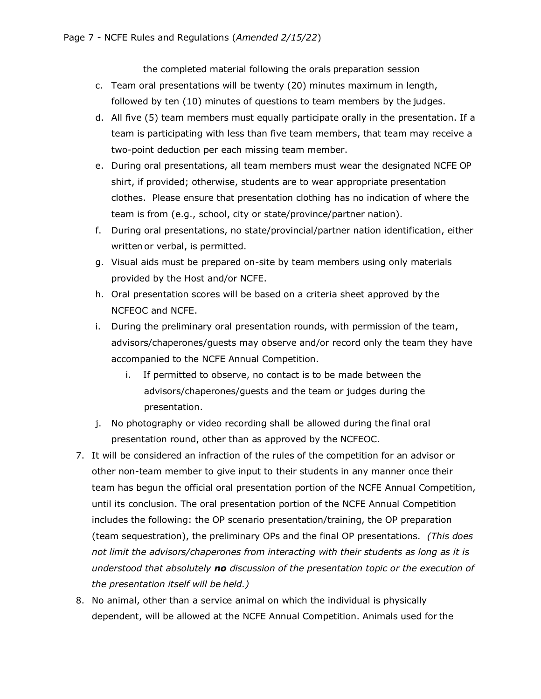the completed material following the orals preparation session

- c. Team oral presentations will be twenty (20) minutes maximum in length, followed by ten (10) minutes of questions to team members by the judges.
- d. All five (5) team members must equally participate orally in the presentation. If a team is participating with less than five team members, that team may receive a two-point deduction per each missing team member.
- e. During oral presentations, all team members must wear the designated NCFE OP shirt, if provided; otherwise, students are to wear appropriate presentation clothes. Please ensure that presentation clothing has no indication of where the team is from (e.g., school, city or state/province/partner nation).
- f. During oral presentations, no state/provincial/partner nation identification, either written or verbal, is permitted.
- g. Visual aids must be prepared on-site by team members using only materials provided by the Host and/or NCFE.
- h. Oral presentation scores will be based on a criteria sheet approved by the NCFEOC and NCFE.
- i. During the preliminary oral presentation rounds, with permission of the team, advisors/chaperones/guests may observe and/or record only the team they have accompanied to the NCFE Annual Competition.
	- i. If permitted to observe, no contact is to be made between the advisors/chaperones/guests and the team or judges during the presentation.
- j. No photography or video recording shall be allowed during the final oral presentation round, other than as approved by the NCFEOC.
- 7. It will be considered an infraction of the rules of the competition for an advisor or other non-team member to give input to their students in any manner once their team has begun the official oral presentation portion of the NCFE Annual Competition, until its conclusion. The oral presentation portion of the NCFE Annual Competition includes the following: the OP scenario presentation/training, the OP preparation (team sequestration), the preliminary OPs and the final OP presentations. *(This does not limit the advisors/chaperones from interacting with their students as long as it is understood that absolutely no discussion of the presentation topic or the execution of the presentation itself will be held.)*
- 8. No animal, other than a service animal on which the individual is physically dependent, will be allowed at the NCFE Annual Competition. Animals used for the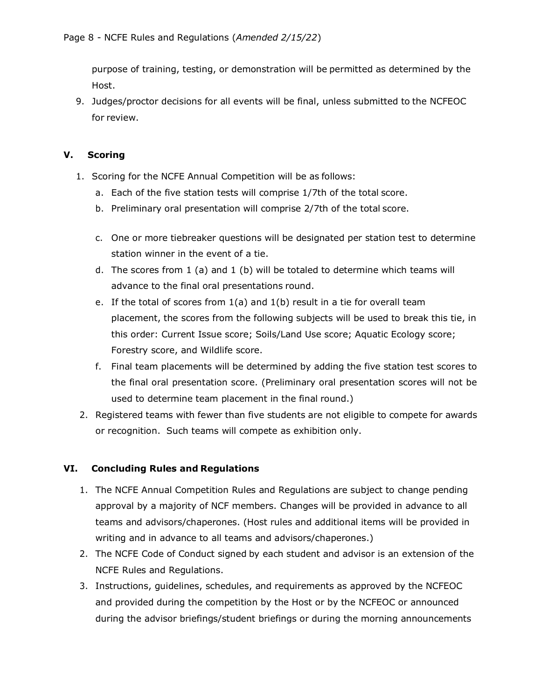purpose of training, testing, or demonstration will be permitted as determined by the Host.

9. Judges/proctor decisions for all events will be final, unless submitted to the NCFEOC for review.

#### **V. Scoring**

- 1. Scoring for the NCFE Annual Competition will be as follows:
	- a. Each of the five station tests will comprise 1/7th of the total score.
	- b. Preliminary oral presentation will comprise 2/7th of the total score.
	- c. One or more tiebreaker questions will be designated per station test to determine station winner in the event of a tie.
	- d. The scores from 1 (a) and 1 (b) will be totaled to determine which teams will advance to the final oral presentations round.
	- e. If the total of scores from  $1(a)$  and  $1(b)$  result in a tie for overall team placement, the scores from the following subjects will be used to break this tie, in this order: Current Issue score; Soils/Land Use score; Aquatic Ecology score; Forestry score, and Wildlife score.
	- f. Final team placements will be determined by adding the five station test scores to the final oral presentation score. (Preliminary oral presentation scores will not be used to determine team placement in the final round.)
- 2. Registered teams with fewer than five students are not eligible to compete for awards or recognition. Such teams will compete as exhibition only.

### **VI. Concluding Rules and Regulations**

- 1. The NCFE Annual Competition Rules and Regulations are subject to change pending approval by a majority of NCF members. Changes will be provided in advance to all teams and advisors/chaperones. (Host rules and additional items will be provided in writing and in advance to all teams and advisors/chaperones.)
- 2. The NCFE Code of Conduct signed by each student and advisor is an extension of the NCFE Rules and Regulations.
- 3. Instructions, guidelines, schedules, and requirements as approved by the NCFEOC and provided during the competition by the Host or by the NCFEOC or announced during the advisor briefings/student briefings or during the morning announcements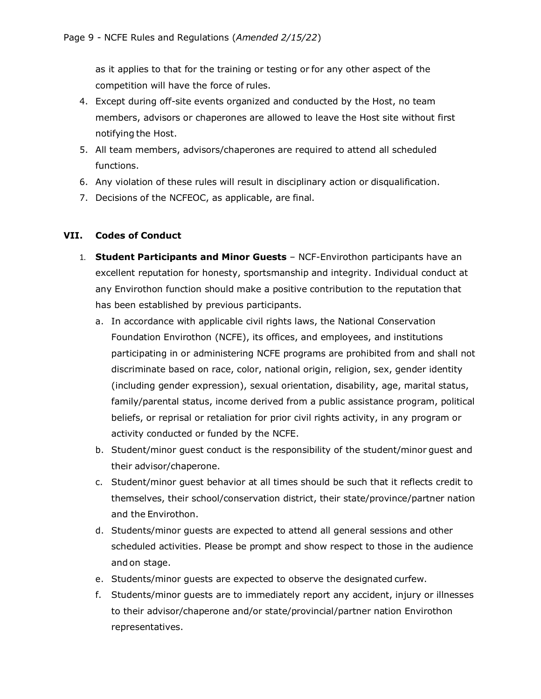as it applies to that for the training or testing or for any other aspect of the competition will have the force of rules.

- 4. Except during off-site events organized and conducted by the Host, no team members, advisors or chaperones are allowed to leave the Host site without first notifying the Host.
- 5. All team members, advisors/chaperones are required to attend all scheduled functions.
- 6. Any violation of these rules will result in disciplinary action or disqualification.
- 7. Decisions of the NCFEOC, as applicable, are final.

#### **VII. Codes of Conduct**

- 1. **Student Participants and Minor Guests**  NCF-Envirothon participants have an excellent reputation for honesty, sportsmanship and integrity. Individual conduct at any Envirothon function should make a positive contribution to the reputation that has been established by previous participants.
	- a. In accordance with applicable civil rights laws, the National Conservation Foundation Envirothon (NCFE), its offices, and employees, and institutions participating in or administering NCFE programs are prohibited from and shall not discriminate based on race, color, national origin, religion, sex, gender identity (including gender expression), sexual orientation, disability, age, marital status, family/parental status, income derived from a public assistance program, political beliefs, or reprisal or retaliation for prior civil rights activity, in any program or activity conducted or funded by the NCFE.
	- b. Student/minor guest conduct is the responsibility of the student/minor guest and their advisor/chaperone.
	- c. Student/minor guest behavior at all times should be such that it reflects credit to themselves, their school/conservation district, their state/province/partner nation and the Envirothon.
	- d. Students/minor guests are expected to attend all general sessions and other scheduled activities. Please be prompt and show respect to those in the audience and on stage.
	- e. Students/minor guests are expected to observe the designated curfew.
	- f. Students/minor guests are to immediately report any accident, injury or illnesses to their advisor/chaperone and/or state/provincial/partner nation Envirothon representatives.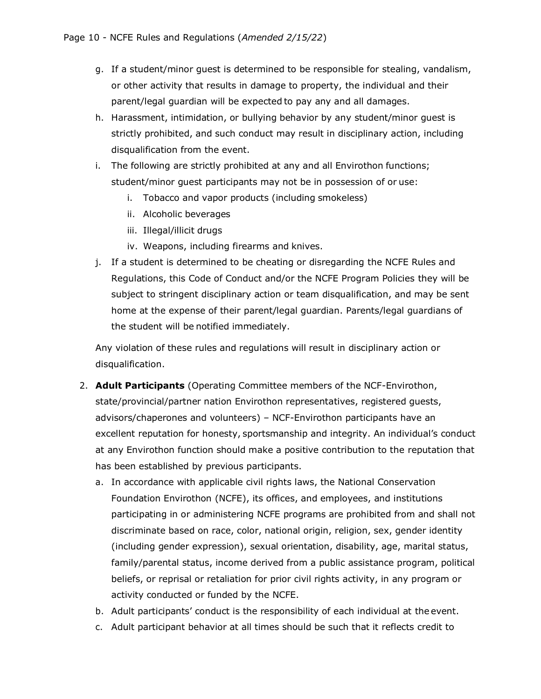- g. If a student/minor guest is determined to be responsible for stealing, vandalism, or other activity that results in damage to property, the individual and their parent/legal guardian will be expected to pay any and all damages.
- h. Harassment, intimidation, or bullying behavior by any student/minor guest is strictly prohibited, and such conduct may result in disciplinary action, including disqualification from the event.
- i. The following are strictly prohibited at any and all Envirothon functions; student/minor guest participants may not be in possession of or use:
	- i. Tobacco and vapor products (including smokeless)
	- ii. Alcoholic beverages
	- iii. Illegal/illicit drugs
	- iv. Weapons, including firearms and knives.
- j. If a student is determined to be cheating or disregarding the NCFE Rules and Regulations, this Code of Conduct and/or the NCFE Program Policies they will be subject to stringent disciplinary action or team disqualification, and may be sent home at the expense of their parent/legal guardian. Parents/legal guardians of the student will be notified immediately.

Any violation of these rules and regulations will result in disciplinary action or disqualification.

- 2. **Adult Participants** (Operating Committee members of the NCF-Envirothon, state/provincial/partner nation Envirothon representatives, registered guests, advisors/chaperones and volunteers) – NCF-Envirothon participants have an excellent reputation for honesty, sportsmanship and integrity. An individual's conduct at any Envirothon function should make a positive contribution to the reputation that has been established by previous participants.
	- a. In accordance with applicable civil rights laws, the National Conservation Foundation Envirothon (NCFE), its offices, and employees, and institutions participating in or administering NCFE programs are prohibited from and shall not discriminate based on race, color, national origin, religion, sex, gender identity (including gender expression), sexual orientation, disability, age, marital status, family/parental status, income derived from a public assistance program, political beliefs, or reprisal or retaliation for prior civil rights activity, in any program or activity conducted or funded by the NCFE.
	- b. Adult participants' conduct is the responsibility of each individual at the event.
	- c. Adult participant behavior at all times should be such that it reflects credit to